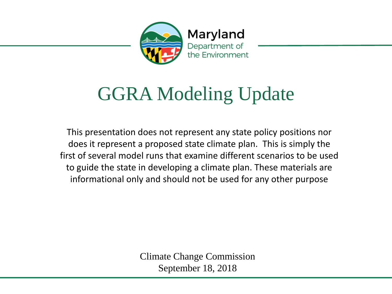

# GGRA Modeling Update

This presentation does not represent any state policy positions nor does it represent a proposed state climate plan. This is simply the first of several model runs that examine different scenarios to be used to guide the state in developing a climate plan. These materials are informational only and should not be used for any other purpose

> Climate Change Commission September 18, 2018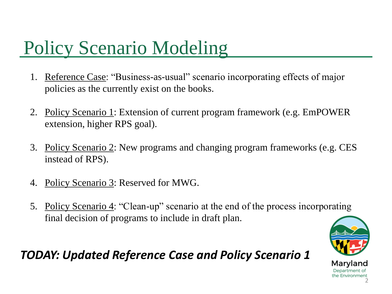# Policy Scenario Modeling

- 1. Reference Case: "Business-as-usual" scenario incorporating effects of major policies as the currently exist on the books.
- 2. Policy Scenario 1: Extension of current program framework (e.g. EmPOWER extension, higher RPS goal).
- 3. Policy Scenario 2: New programs and changing program frameworks (e.g. CES instead of RPS).
- 4. Policy Scenario 3: Reserved for MWG.
- 5. Policy Scenario 4: "Clean-up" scenario at the end of the process incorporating final decision of programs to include in draft plan.



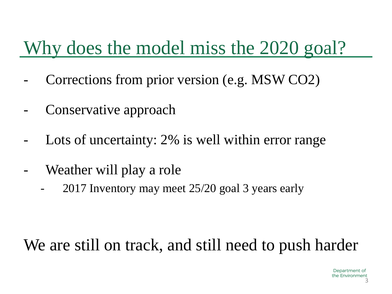# Why does the model miss the 2020 goal?

- Corrections from prior version (e.g. MSW CO2)
- Conservative approach
- Lots of uncertainty: 2% is well within error range
- Weather will play a role
	- 2017 Inventory may meet 25/20 goal 3 years early

#### We are still on track, and still need to push harder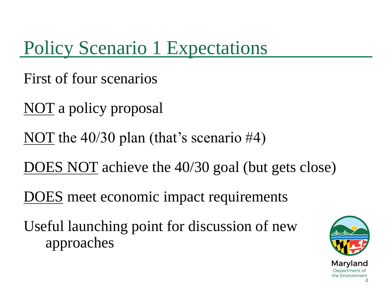Policy Scenario 1 Expectations

First of four scenarios

NOT a policy proposal

NOT the 40/30 plan (that's scenario #4)

DOES NOT achieve the 40/30 goal (but gets close)

DOES meet economic impact requirements

Useful launching point for discussion of new approaches